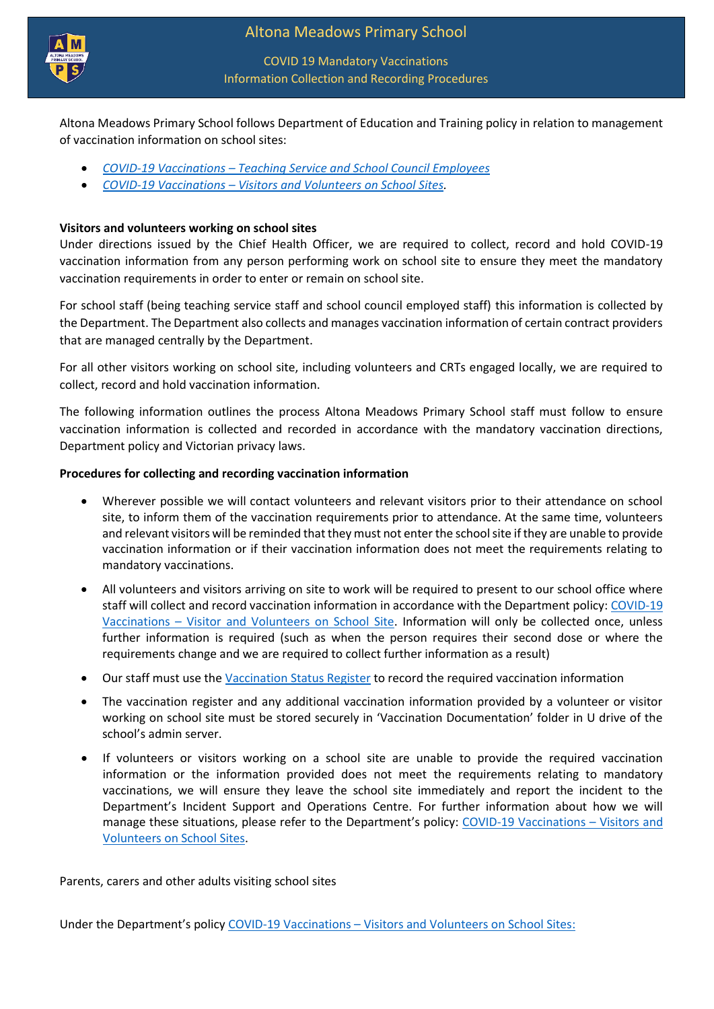

## COVID 19 Mandatory Vaccinations Information Collection and Recording Procedures

Altona Meadows Primary School follows Department of Education and Training policy in relation to management of vaccination information on school sites:

- *COVID-19 Vaccinations – [Teaching Service and School Council Employees](https://www2.education.vic.gov.au/pal/covid-19-vaccinations-teaching-service-school-council-employees/overview)*
- *COVID-19 Vaccinations – [Visitors and Volunteers on School Sites.](https://www2.education.vic.gov.au/pal/covid-19-vaccinations-visitors-volunteers/policy)*

## **Visitors and volunteers working on school sites**

Under directions issued by the Chief Health Officer, we are required to collect, record and hold COVID-19 vaccination information from any person performing work on school site to ensure they meet the mandatory vaccination requirements in order to enter or remain on school site.

For school staff (being teaching service staff and school council employed staff) this information is collected by the Department. The Department also collects and manages vaccination information of certain contract providers that are managed centrally by the Department.

For all other visitors working on school site, including volunteers and CRTs engaged locally, we are required to collect, record and hold vaccination information.

The following information outlines the process Altona Meadows Primary School staff must follow to ensure vaccination information is collected and recorded in accordance with the mandatory vaccination directions, Department policy and Victorian privacy laws.

## **Procedures for collecting and recording vaccination information**

- Wherever possible we will contact volunteers and relevant visitors prior to their attendance on school site, to inform them of the vaccination requirements prior to attendance. At the same time, volunteers and relevant visitors will be reminded that they must not enter the school site if they are unable to provide vaccination information or if their vaccination information does not meet the requirements relating to mandatory vaccinations.
- All volunteers and visitors arriving on site to work will be required to present to our school office where staff will collect and record vaccination information in accordance with the Department policy[: COVID-19](https://www2.education.vic.gov.au/pal/covid-19-vaccinations-visitors-volunteers/policy)  Vaccinations – [Visitor and Volunteers on School Site.](https://www2.education.vic.gov.au/pal/covid-19-vaccinations-visitors-volunteers/policy) Information will only be collected once, unless further information is required (such as when the person requires their second dose or where the requirements change and we are required to collect further information as a result)
- Our staff must use th[e Vaccination Status Register](https://edugate.eduweb.vic.gov.au/edrms/website/PAL/covid-19-vaccination-status-register-visitors-and-volunteers.docx) to record the required vaccination information
- The vaccination register and any additional vaccination information provided by a volunteer or visitor working on school site must be stored securely in 'Vaccination Documentation' folder in U drive of the school's admin server.
- If volunteers or visitors working on a school site are unable to provide the required vaccination information or the information provided does not meet the requirements relating to mandatory vaccinations, we will ensure they leave the school site immediately and report the incident to the Department's Incident Support and Operations Centre. For further information about how we will manage these situations, please refer to the Department's policy: [COVID-19 Vaccinations](https://www2.education.vic.gov.au/pal/covid-19-vaccinations-visitors-volunteers/policy) - Visitors and [Volunteers on School Sites.](https://www2.education.vic.gov.au/pal/covid-19-vaccinations-visitors-volunteers/policy)

Parents, carers and other adults visiting school sites

Under the Department's policy COVID-19 Vaccinations – [Visitors and Volunteers on School Sites:](https://www2.education.vic.gov.au/pal/covid-19-vaccinations-visitors-volunteers/policy)